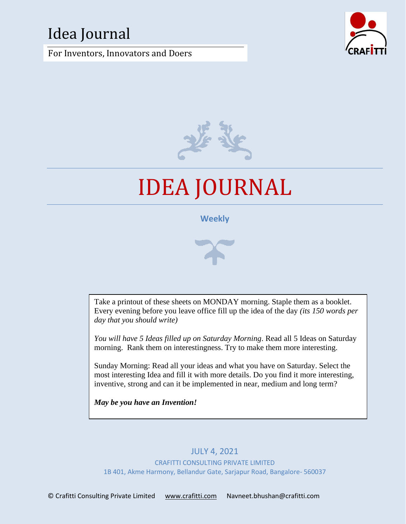# Idea Journal

For Inventors, Innovators and Doers





# IDEA JOURNAL

## **Weekly**



Take a printout of these sheets on MONDAY morning. Staple them as a booklet. Every evening before you leave office fill up the idea of the day *(its 150 words per day that you should write)*

*You will have 5 Ideas filled up on Saturday Morning*. Read all 5 Ideas on Saturday morning. Rank them on interestingness. Try to make them more interesting.

Sunday Morning: Read all your ideas and what you have on Saturday. Select the most interesting Idea and fill it with more details. Do you find it more interesting, inventive, strong and can it be implemented in near, medium and long term?

*May be you have an Invention!*

# JULY 4, 2021

CRAFITTI CONSULTING PRIVATE LIMITED 1B 401, Akme Harmony, Bellandur Gate, Sarjapur Road, Bangalore- 560037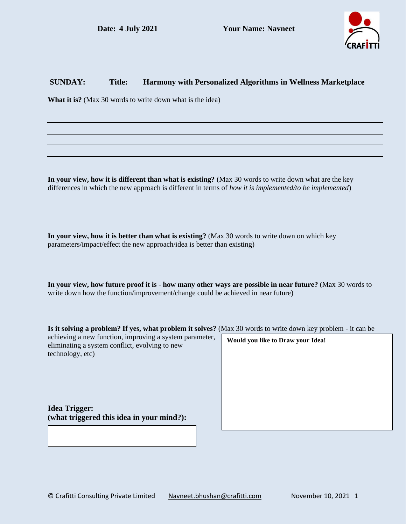

#### **SUNDAY: Title: Harmony with Personalized Algorithms in Wellness Marketplace**

**What it is?** (Max 30 words to write down what is the idea)

**In your view, how it is different than what is existing?** (Max 30 words to write down what are the key differences in which the new approach is different in terms of *how it is implemented/to be implemented*)

**In your view, how it is better than what is existing?** (Max 30 words to write down on which key parameters/impact/effect the new approach/idea is better than existing)

**In your view, how future proof it is - how many other ways are possible in near future?** (Max 30 words to write down how the function/improvement/change could be achieved in near future)

| Is it solving a problem? If yes, what problem it solves? (Max 30 words to write down key problem - it can be |  |
|--------------------------------------------------------------------------------------------------------------|--|
|--------------------------------------------------------------------------------------------------------------|--|

| achieving a new function, improving a system parameter,<br>eliminating a system conflict, evolving to new<br>technology, etc) | Would you like to Draw your Idea! |
|-------------------------------------------------------------------------------------------------------------------------------|-----------------------------------|
| <b>Idea Trigger:</b><br>(what triggered this idea in your mind?):                                                             |                                   |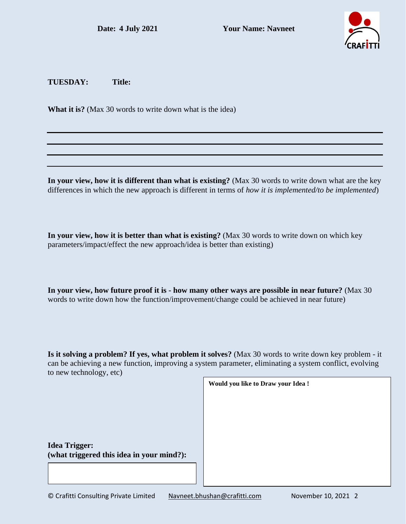

**TUESDAY: Title:**

**What it is?** (Max 30 words to write down what is the idea)

**In your view, how it is different than what is existing?** (Max 30 words to write down what are the key differences in which the new approach is different in terms of *how it is implemented/to be implemented*)

**In your view, how it is better than what is existing?** (Max 30 words to write down on which key parameters/impact/effect the new approach/idea is better than existing)

**In your view, how future proof it is - how many other ways are possible in near future?** (Max 30 words to write down how the function/improvement/change could be achieved in near future)

**Is it solving a problem? If yes, what problem it solves?** (Max 30 words to write down key problem - it can be achieving a new function, improving a system parameter, eliminating a system conflict, evolving to new technology, etc)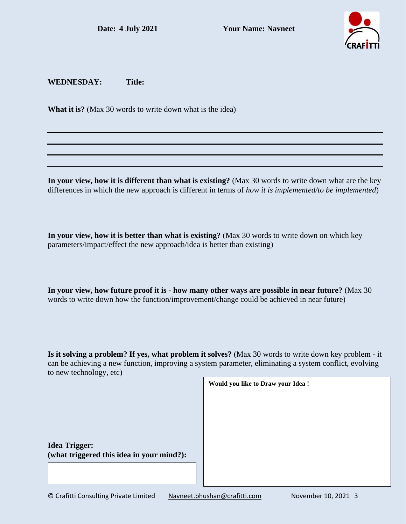

#### **WEDNESDAY: Title:**

**What it is?** (Max 30 words to write down what is the idea)

**In your view, how it is different than what is existing?** (Max 30 words to write down what are the key differences in which the new approach is different in terms of *how it is implemented/to be implemented*)

**In your view, how it is better than what is existing?** (Max 30 words to write down on which key parameters/impact/effect the new approach/idea is better than existing)

**In your view, how future proof it is - how many other ways are possible in near future?** (Max 30 words to write down how the function/improvement/change could be achieved in near future)

**Is it solving a problem? If yes, what problem it solves?** (Max 30 words to write down key problem - it can be achieving a new function, improving a system parameter, eliminating a system conflict, evolving to new technology, etc)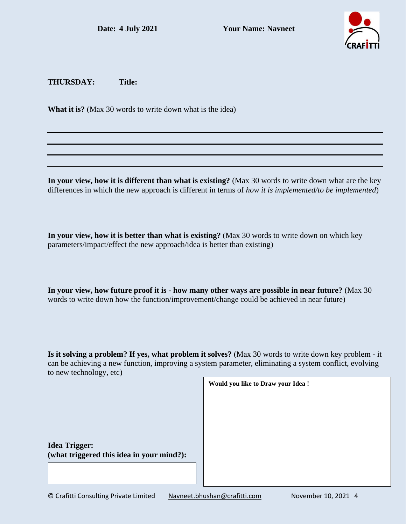

**THURSDAY: Title:**

**What it is?** (Max 30 words to write down what is the idea)

**In your view, how it is different than what is existing?** (Max 30 words to write down what are the key differences in which the new approach is different in terms of *how it is implemented/to be implemented*)

**In your view, how it is better than what is existing?** (Max 30 words to write down on which key parameters/impact/effect the new approach/idea is better than existing)

**In your view, how future proof it is - how many other ways are possible in near future?** (Max 30 words to write down how the function/improvement/change could be achieved in near future)

**Is it solving a problem? If yes, what problem it solves?** (Max 30 words to write down key problem - it can be achieving a new function, improving a system parameter, eliminating a system conflict, evolving to new technology, etc)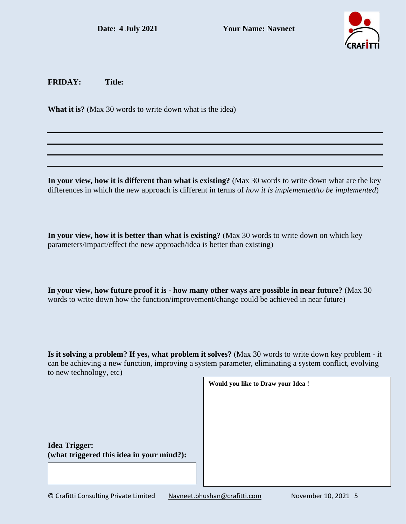

**FRIDAY: Title:**

**What it is?** (Max 30 words to write down what is the idea)

**In your view, how it is different than what is existing?** (Max 30 words to write down what are the key differences in which the new approach is different in terms of *how it is implemented/to be implemented*)

**In your view, how it is better than what is existing?** (Max 30 words to write down on which key parameters/impact/effect the new approach/idea is better than existing)

**In your view, how future proof it is - how many other ways are possible in near future?** (Max 30 words to write down how the function/improvement/change could be achieved in near future)

**Is it solving a problem? If yes, what problem it solves?** (Max 30 words to write down key problem - it can be achieving a new function, improving a system parameter, eliminating a system conflict, evolving to new technology, etc)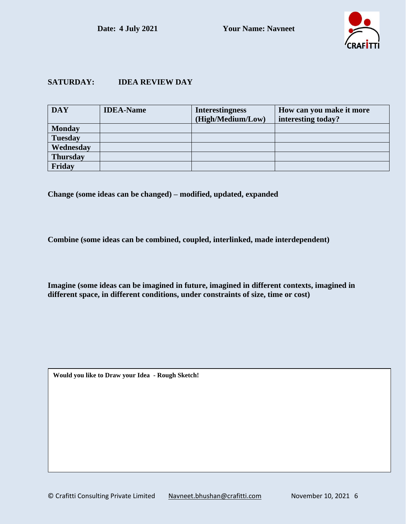

### **SATURDAY: IDEA REVIEW DAY**

| <b>DAY</b>      | <b>IDEA-Name</b> | <b>Interestingness</b> | How can you make it more |
|-----------------|------------------|------------------------|--------------------------|
|                 |                  | (High/Medium/Low)      | interesting today?       |
| <b>Monday</b>   |                  |                        |                          |
| <b>Tuesday</b>  |                  |                        |                          |
| Wednesday       |                  |                        |                          |
| <b>Thursday</b> |                  |                        |                          |
| Friday          |                  |                        |                          |

**Change (some ideas can be changed) – modified, updated, expanded**

**Combine (some ideas can be combined, coupled, interlinked, made interdependent)**

**Imagine (some ideas can be imagined in future, imagined in different contexts, imagined in different space, in different conditions, under constraints of size, time or cost)**

**Would you like to Draw your Idea - Rough Sketch!**